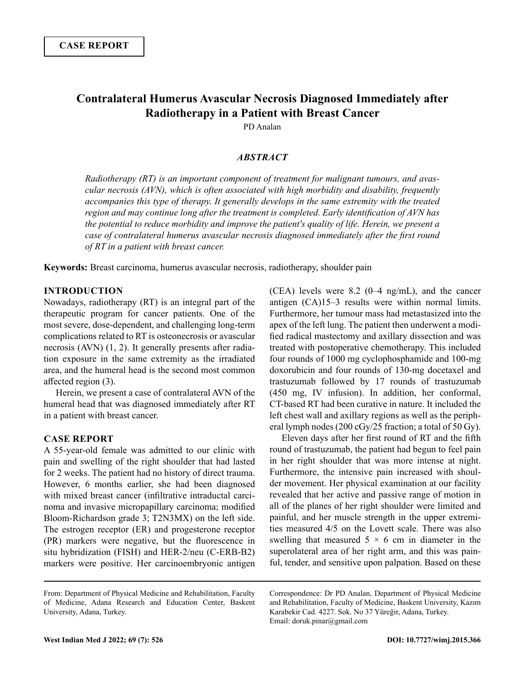# **Contralateral Humerus Avascular Necrosis Diagnosed Immediately after Radiotherapy in a Patient with Breast Cancer**

PD Analan

# *ABSTRACT*

*Radiotherapy (RT) is an important component of treatment for malignant tumours, and avascular necrosis (AVN), which is often associated with high morbidity and disability, frequently accompanies this type of therapy. It generally develops in the same extremity with the treated region and may continue long after the treatment is completed. Early identification of AVN has the potential to reduce morbidity and improve the patient's quality of life. Herein, we present a case of contralateral humerus avascular necrosis diagnosed immediately after the first round of RT in a patient with breast cancer.*

**Keywords:** Breast carcinoma, humerus avascular necrosis, radiotherapy, shoulder pain

### **INTRODUCTION**

Nowadays, radiotherapy (RT) is an integral part of the therapeutic program for cancer patients. One of the most severe, dose-dependent, and challenging long-term complications related to RT is osteonecrosis or avascular necrosis (AVN) (1, 2). It generally presents after radiation exposure in the same extremity as the irradiated area, and the humeral head is the second most common affected region (3).

Herein, we present a case of contralateral AVN of the humeral head that was diagnosed immediately after RT in a patient with breast cancer.

### **CASE REPORT**

A 55-year-old female was admitted to our clinic with pain and swelling of the right shoulder that had lasted for 2 weeks. The patient had no history of direct trauma. However, 6 months earlier, she had been diagnosed with mixed breast cancer (infiltrative intraductal carcinoma and invasive micropapillary carcinoma; modified Bloom-Richardson grade 3; T2N3MX) on the left side. The estrogen receptor (ER) and progesterone receptor (PR) markers were negative, but the fluorescence in situ hybridization (FISH) and HER-2/neu (C-ERB-B2) markers were positive. Her carcinoembryonic antigen

(CEA) levels were 8.2 (0–4 ng/mL), and the cancer antigen (CA)15–3 results were within normal limits. Furthermore, her tumour mass had metastasized into the apex of the left lung. The patient then underwent a modified radical mastectomy and axillary dissection and was treated with postoperative chemotherapy. This included four rounds of 1000 mg cyclophosphamide and 100-mg doxorubicin and four rounds of 130-mg docetaxel and trastuzumab followed by 17 rounds of trastuzumab (450 mg, IV infusion). In addition, her conformal, CT-based RT had been curative in nature. It included the left chest wall and axillary regions as well as the peripheral lymph nodes (200 cGy/25 fraction; a total of 50 Gy).

Eleven days after her first round of RT and the fifth round of trastuzumab, the patient had begun to feel pain in her right shoulder that was more intense at night. Furthermore, the intensive pain increased with shoulder movement. Her physical examination at our facility revealed that her active and passive range of motion in all of the planes of her right shoulder were limited and painful, and her muscle strength in the upper extremities measured 4/5 on the Lovett scale. There was also swelling that measured  $5 \times 6$  cm in diameter in the superolateral area of her right arm, and this was painful, tender, and sensitive upon palpation. Based on these

Correspondence: Dr PD Analan, Department of Physical Medicine and Rehabilitation, Faculty of Medicine, Baskent University, Kazım Karabekir Cad. 4227. Sok. No 37 Yüreğir, Adana, Turkey. Email: doruk.pinar@gmail.com

From: Department of Physical Medicine and Rehabilitation, Faculty of Medicine, Adana Research and Education Center, Baskent University, Adana, Turkey.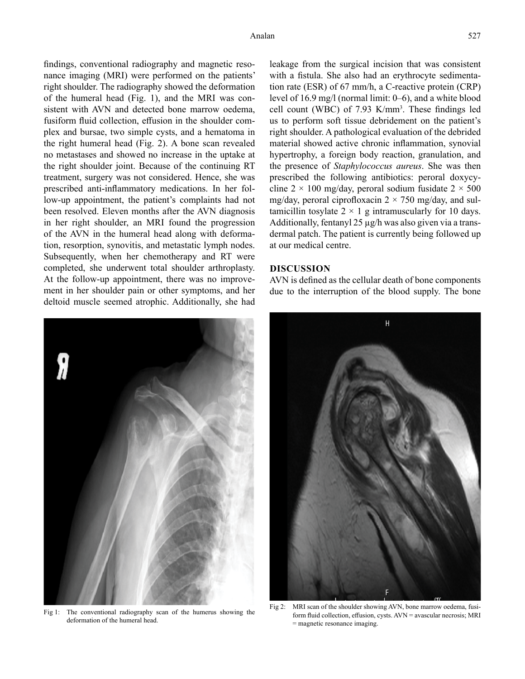findings, conventional radiography and magnetic resonance imaging (MRI) were performed on the patients' right shoulder. The radiography showed the deformation of the humeral head (Fig. 1), and the MRI was consistent with AVN and detected bone marrow oedema, fusiform fluid collection, effusion in the shoulder complex and bursae, two simple cysts, and a hematoma in the right humeral head (Fig. 2). A bone scan revealed no metastases and showed no increase in the uptake at the right shoulder joint. Because of the continuing RT treatment, surgery was not considered. Hence, she was prescribed anti-inflammatory medications. In her follow-up appointment, the patient's complaints had not been resolved. Eleven months after the AVN diagnosis in her right shoulder, an MRI found the progression of the AVN in the humeral head along with deformation, resorption, synovitis, and metastatic lymph nodes. Subsequently, when her chemotherapy and RT were completed, she underwent total shoulder arthroplasty. At the follow-up appointment, there was no improvement in her shoulder pain or other symptoms, and her deltoid muscle seemed atrophic. Additionally, she had



Fig 1: The conventional radiography scan of the humerus showing the deformation of the humeral head.

leakage from the surgical incision that was consistent with a fistula. She also had an erythrocyte sedimentation rate (ESR) of 67 mm/h, a C-reactive protein (CRP) level of 16.9 mg/l (normal limit: 0–6), and a white blood cell count (WBC) of  $7.93$  K/mm<sup>3</sup>. These findings led us to perform soft tissue debridement on the patient's right shoulder. A pathological evaluation of the debrided material showed active chronic inflammation, synovial hypertrophy, a foreign body reaction, granulation, and the presence of *Staphylococcus aureus*. She was then prescribed the following antibiotics: peroral doxycycline  $2 \times 100$  mg/day, peroral sodium fusidate  $2 \times 500$ mg/day, peroral ciprofloxacin  $2 \times 750$  mg/day, and sultamicillin tosylate  $2 \times 1$  g intramuscularly for 10 days. Additionally, fentanyl  $25 \mu g/h$  was also given via a transdermal patch. The patient is currently being followed up at our medical centre.

# **DISCUSSION**

AVN is defined as the cellular death of bone components due to the interruption of the blood supply. The bone



Fig 2: MRI scan of the shoulder showing AVN, bone marrow oedema, fusiform fluid collection, effusion, cysts. AVN = avascular necrosis; MRI = magnetic resonance imaging.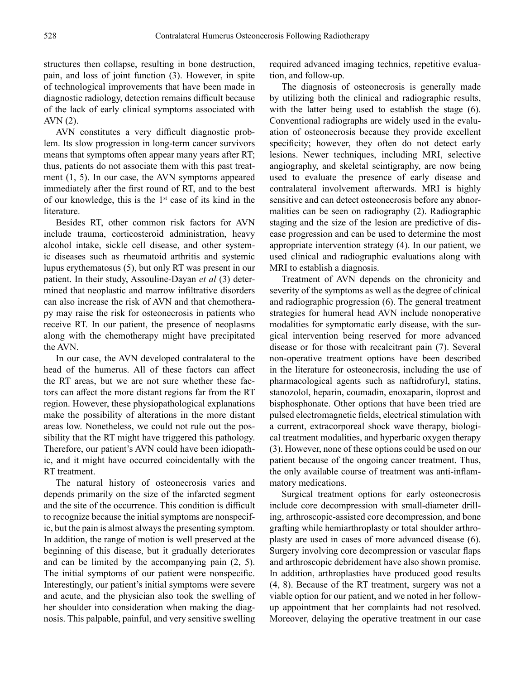structures then collapse, resulting in bone destruction, pain, and loss of joint function (3). However, in spite of technological improvements that have been made in diagnostic radiology, detection remains difficult because of the lack of early clinical symptoms associated with AVN (2).

AVN constitutes a very difficult diagnostic problem. Its slow progression in long-term cancer survivors means that symptoms often appear many years after RT; thus, patients do not associate them with this past treatment (1, 5). In our case, the AVN symptoms appeared immediately after the first round of RT, and to the best of our knowledge, this is the  $1<sup>st</sup>$  case of its kind in the literature.

Besides RT, other common risk factors for AVN include trauma, corticosteroid administration, heavy alcohol intake, sickle cell disease, and other systemic diseases such as rheumatoid arthritis and systemic lupus erythematosus (5), but only RT was present in our patient. In their study, Assouline-Dayan *et al* (3) determined that neoplastic and marrow infiltrative disorders can also increase the risk of AVN and that chemotherapy may raise the risk for osteonecrosis in patients who receive RT. In our patient, the presence of neoplasms along with the chemotherapy might have precipitated the AVN.

In our case, the AVN developed contralateral to the head of the humerus. All of these factors can affect the RT areas, but we are not sure whether these factors can affect the more distant regions far from the RT region. However, these physiopathological explanations make the possibility of alterations in the more distant areas low. Nonetheless, we could not rule out the possibility that the RT might have triggered this pathology. Therefore, our patient's AVN could have been idiopathic, and it might have occurred coincidentally with the RT treatment.

The natural history of osteonecrosis varies and depends primarily on the size of the infarcted segment and the site of the occurrence. This condition is difficult to recognize because the initial symptoms are nonspecific, but the pain is almost always the presenting symptom. In addition, the range of motion is well preserved at the beginning of this disease, but it gradually deteriorates and can be limited by the accompanying pain (2, 5). The initial symptoms of our patient were nonspecific. Interestingly, our patient's initial symptoms were severe and acute, and the physician also took the swelling of her shoulder into consideration when making the diagnosis. This palpable, painful, and very sensitive swelling required advanced imaging technics, repetitive evaluation, and follow-up.

The diagnosis of osteonecrosis is generally made by utilizing both the clinical and radiographic results, with the latter being used to establish the stage (6). Conventional radiographs are widely used in the evaluation of osteonecrosis because they provide excellent specificity; however, they often do not detect early lesions. Newer techniques, including MRI, selective angiography, and skeletal scintigraphy, are now being used to evaluate the presence of early disease and contralateral involvement afterwards. MRI is highly sensitive and can detect osteonecrosis before any abnormalities can be seen on radiography (2). Radiographic staging and the size of the lesion are predictive of disease progression and can be used to determine the most appropriate intervention strategy (4). In our patient, we used clinical and radiographic evaluations along with MRI to establish a diagnosis.

Treatment of AVN depends on the chronicity and severity of the symptoms as well as the degree of clinical and radiographic progression (6). The general treatment strategies for humeral head AVN include nonoperative modalities for symptomatic early disease, with the surgical intervention being reserved for more advanced disease or for those with recalcitrant pain (7). Several non-operative treatment options have been described in the literature for osteonecrosis, including the use of pharmacological agents such as naftidrofuryl, statins, stanozolol, heparin, coumadin, enoxaparin, iloprost and bisphosphonate. Other options that have been tried are pulsed electromagnetic fields, electrical stimulation with a current, extracorporeal shock wave therapy, biological treatment modalities, and hyperbaric oxygen therapy (3). However, none of these options could be used on our patient because of the ongoing cancer treatment. Thus, the only available course of treatment was anti-inflammatory medications.

Surgical treatment options for early osteonecrosis include core decompression with small-diameter drilling, arthroscopic-assisted core decompression, and bone grafting while hemiarthroplasty or total shoulder arthroplasty are used in cases of more advanced disease (6). Surgery involving core decompression or vascular flaps and arthroscopic debridement have also shown promise. In addition, arthroplasties have produced good results (4, 8). Because of the RT treatment, surgery was not a viable option for our patient, and we noted in her followup appointment that her complaints had not resolved. Moreover, delaying the operative treatment in our case